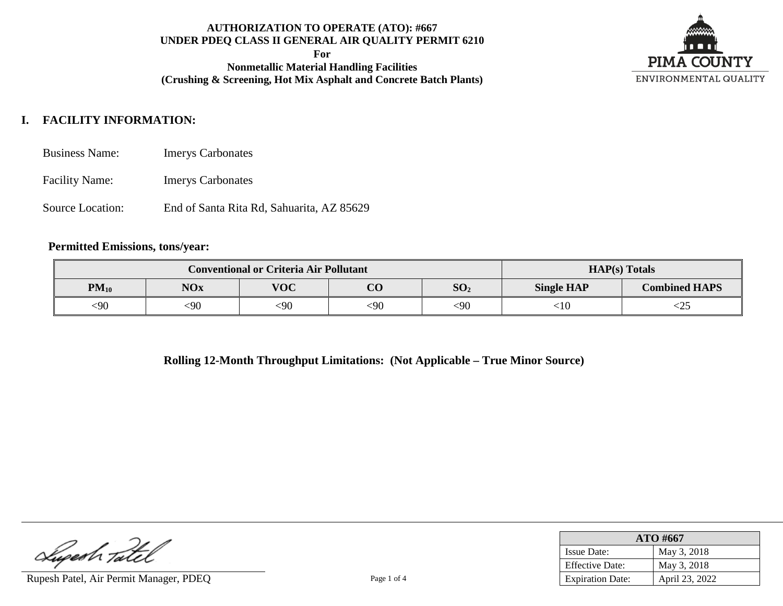**For**

**Nonmetallic Material Handling Facilities (Crushing & Screening, Hot Mix Asphalt and Concrete Batch Plants)**



# **I. FACILITY INFORMATION:**

- Business Name: Imerys Carbonates
- Facility Name: Imerys Carbonates
- Source Location: End of Santa Rita Rd, Sahuarita, AZ 85629

### **Permitted Emissions, tons/year:**

|           | <b>Conventional or Criteria Air Pollutant</b>           |        | $HAP(s)$ Totals |      |                   |                      |
|-----------|---------------------------------------------------------|--------|-----------------|------|-------------------|----------------------|
| $PM_{10}$ | <b>VOC</b><br>$\Omega$<br>SO <sub>2</sub><br><b>NOx</b> |        |                 |      | <b>Single HAP</b> | <b>Combined HAPS</b> |
| $90$      | <90                                                     | $<$ 90 | 90:             | $90$ | 10:               | ∼∠J                  |

**Rolling 12-Month Throughput Limitations: (Not Applicable – True Minor Source)**

Lupesh Tatel

Rupesh Patel, Air Permit Manager, PDEQ Page 1 of 4

| ATO #667                |                |  |  |
|-------------------------|----------------|--|--|
| <b>Issue Date:</b>      | May 3, 2018    |  |  |
| <b>Effective Date:</b>  | May 3, 2018    |  |  |
| <b>Expiration Date:</b> | April 23, 2022 |  |  |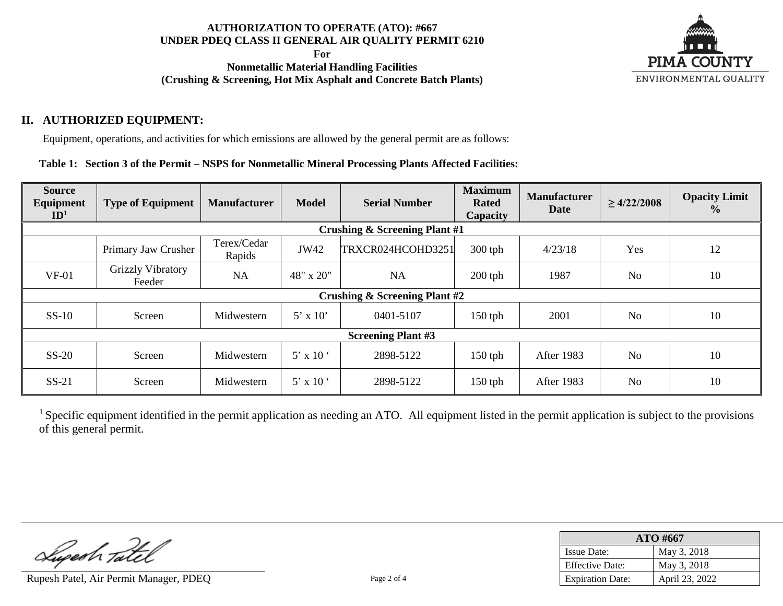**For**

**Nonmetallic Material Handling Facilities (Crushing & Screening, Hot Mix Asphalt and Concrete Batch Plants)**



## **II. AUTHORIZED EQUIPMENT:**

Equipment, operations, and activities for which emissions are allowed by the general permit are as follows:

**Table 1: Section 3 of the Permit – NSPS for Nonmetallic Mineral Processing Plants Affected Facilities:**

| <b>Source</b><br>Equipment<br>ID <sup>1</sup> | <b>Type of Equipment</b>    | <b>Manufacturer</b>   | <b>Model</b>    | <b>Serial Number</b>                     | <b>Maximum</b><br><b>Rated</b><br>Capacity | <b>Manufacturer</b><br><b>Date</b> | $\geq 4/22/2008$ | <b>Opacity Limit</b><br>$\frac{0}{0}$ |
|-----------------------------------------------|-----------------------------|-----------------------|-----------------|------------------------------------------|--------------------------------------------|------------------------------------|------------------|---------------------------------------|
|                                               |                             |                       |                 | <b>Crushing &amp; Screening Plant #1</b> |                                            |                                    |                  |                                       |
|                                               | Primary Jaw Crusher         | Terex/Cedar<br>Rapids | JW42            | TRXCR024HCOHD3251                        | $300$ tph                                  | 4/23/18                            | Yes              | 12                                    |
| $VF-01$                                       | Grizzly Vibratory<br>Feeder | <b>NA</b>             | 48" x 20"       | <b>NA</b>                                | $200$ tph                                  | 1987                               | N <sub>o</sub>   | 10                                    |
| <b>Crushing &amp; Screening Plant #2</b>      |                             |                       |                 |                                          |                                            |                                    |                  |                                       |
| $SS-10$                                       | Screen                      | Midwestern            | $5' \times 10'$ | 0401-5107                                | $150$ tph                                  | 2001                               | N <sub>o</sub>   | 10                                    |
|                                               | <b>Screening Plant #3</b>   |                       |                 |                                          |                                            |                                    |                  |                                       |
| $SS-20$                                       | Screen                      | Midwestern            | $5'$ x 10 $'$   | 2898-5122                                | $150$ tph                                  | After 1983                         | N <sub>o</sub>   | 10                                    |
| $SS-21$                                       | Screen                      | Midwestern            | $5'$ x 10 $'$   | 2898-5122                                | $150$ tph                                  | After 1983                         | N <sub>o</sub>   | 10                                    |

<sup>1</sup> Specific equipment identified in the permit application as needing an ATO. All equipment listed in the permit application is subject to the provisions of this general permit.

Lupeah Tatel

Rupesh Patel, Air Permit Manager, PDEQ Page 2 of 4

| ATO #667                |                |  |  |
|-------------------------|----------------|--|--|
| <b>Issue Date:</b>      | May 3, 2018    |  |  |
| <b>Effective Date:</b>  | May 3, 2018    |  |  |
| <b>Expiration Date:</b> | April 23, 2022 |  |  |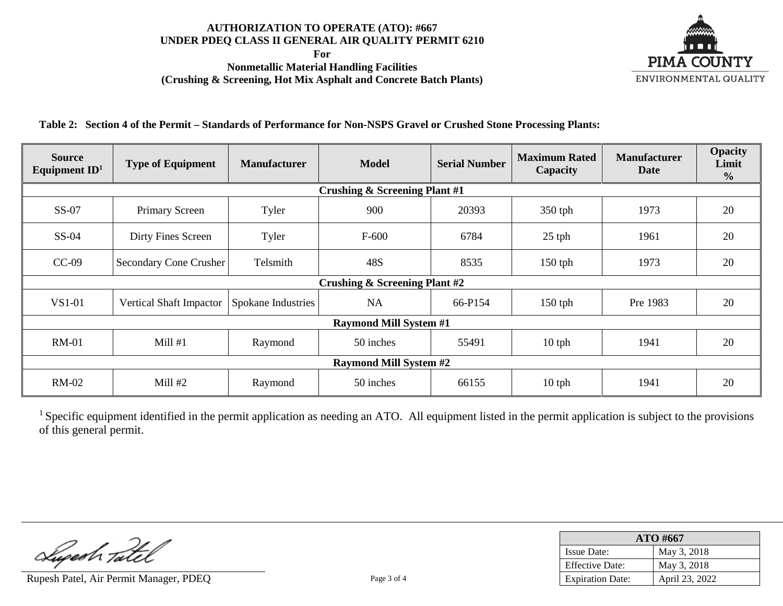**For**

**Nonmetallic Material Handling Facilities (Crushing & Screening, Hot Mix Asphalt and Concrete Batch Plants)**



**Table 2: Section 4 of the Permit – Standards of Performance for Non-NSPS Gravel or Crushed Stone Processing Plants:**

| <b>Source</b><br>Equipment $ID1$ | <b>Type of Equipment</b>                 | <b>Model</b><br><b>Manufacturer</b> |                               | <b>Serial Number</b> | <b>Maximum Rated</b><br>Capacity | <b>Manufacturer</b><br><b>Date</b> | <b>Opacity</b><br>Limit<br>$\frac{6}{6}$ |  |  |  |
|----------------------------------|------------------------------------------|-------------------------------------|-------------------------------|----------------------|----------------------------------|------------------------------------|------------------------------------------|--|--|--|
|                                  | <b>Crushing &amp; Screening Plant #1</b> |                                     |                               |                      |                                  |                                    |                                          |  |  |  |
| $SS-07$                          | Primary Screen                           | Tyler                               | 900                           | 20393                | 350 tph                          | 1973                               | 20                                       |  |  |  |
| $SS-04$                          | Dirty Fines Screen                       | Tyler                               | $F-600$                       | 6784                 | $25$ tph                         | 1961                               | 20                                       |  |  |  |
| $CC-09$                          | <b>Secondary Cone Crusher</b>            | Telsmith                            | 48S                           | 8535                 | $150$ tph                        | 1973                               | 20                                       |  |  |  |
|                                  | <b>Crushing &amp; Screening Plant #2</b> |                                     |                               |                      |                                  |                                    |                                          |  |  |  |
| VS1-01                           | Vertical Shaft Impactor                  | Spokane Industries                  | <b>NA</b>                     | 66-P154              | $150$ tph                        | Pre 1983                           | 20                                       |  |  |  |
|                                  |                                          |                                     | <b>Raymond Mill System #1</b> |                      |                                  |                                    |                                          |  |  |  |
| <b>RM-01</b>                     | Mill#1                                   | Raymond                             | 50 inches                     | 55491                | $10$ tph                         | 1941                               | 20                                       |  |  |  |
|                                  | <b>Raymond Mill System #2</b>            |                                     |                               |                      |                                  |                                    |                                          |  |  |  |
| <b>RM-02</b>                     | Mill #2                                  | Raymond                             | 50 inches                     | 66155                | $10$ tph                         | 1941                               | 20                                       |  |  |  |

<sup>1</sup> Specific equipment identified in the permit application as needing an ATO. All equipment listed in the permit application is subject to the provisions of this general permit.

Luperh Tatel

Rupesh Patel, Air Permit Manager, PDEQ Page 3 of 4

| ATO #667                |                |  |  |
|-------------------------|----------------|--|--|
| <b>Issue Date:</b>      | May 3, 2018    |  |  |
| <b>Effective Date:</b>  | May 3, 2018    |  |  |
| <b>Expiration Date:</b> | April 23, 2022 |  |  |